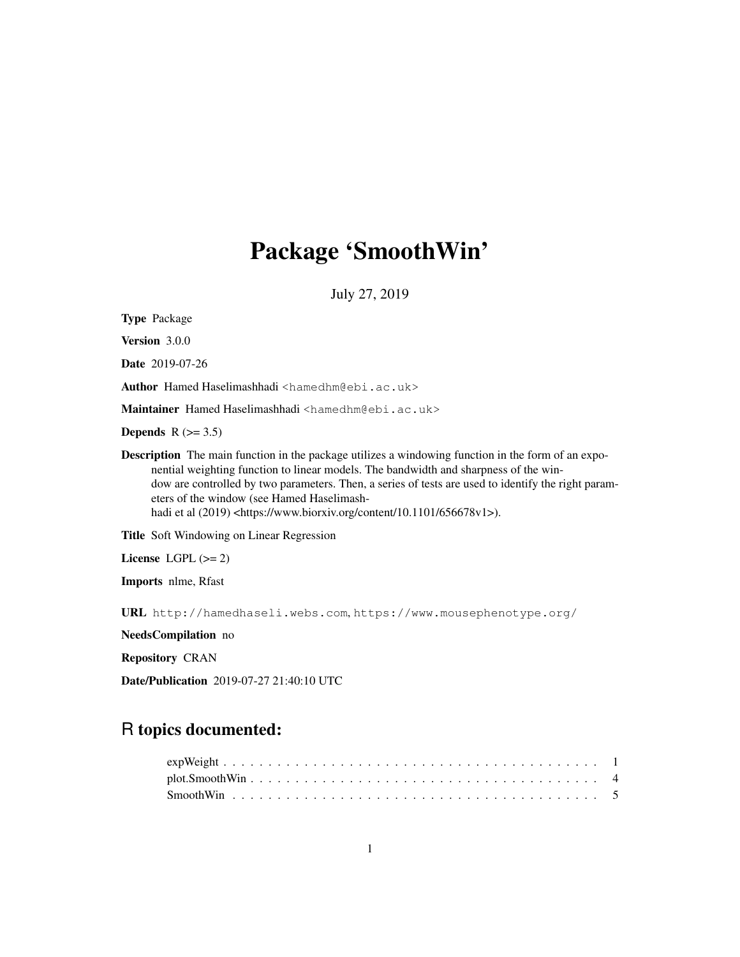# Package 'SmoothWin'

July 27, 2019

Type Package

Version 3.0.0

Date 2019-07-26

Author Hamed Haselimashhadi <hamedhm@ebi.ac.uk>

Maintainer Hamed Haselimashhadi <hamedhm@ebi.ac.uk>

Depends  $R$  ( $> = 3.5$ )

Description The main function in the package utilizes a windowing function in the form of an exponential weighting function to linear models. The bandwidth and sharpness of the window are controlled by two parameters. Then, a series of tests are used to identify the right parameters of the window (see Hamed Haselimashhadi et al (2019) <https://www.biorxiv.org/content/10.1101/656678v1>).

Title Soft Windowing on Linear Regression

License LGPL  $(>= 2)$ 

Imports nlme, Rfast

URL http://hamedhaseli.webs.com, https://www.mousephenotype.org/

NeedsCompilation no

Repository CRAN

Date/Publication 2019-07-27 21:40:10 UTC

# R topics documented: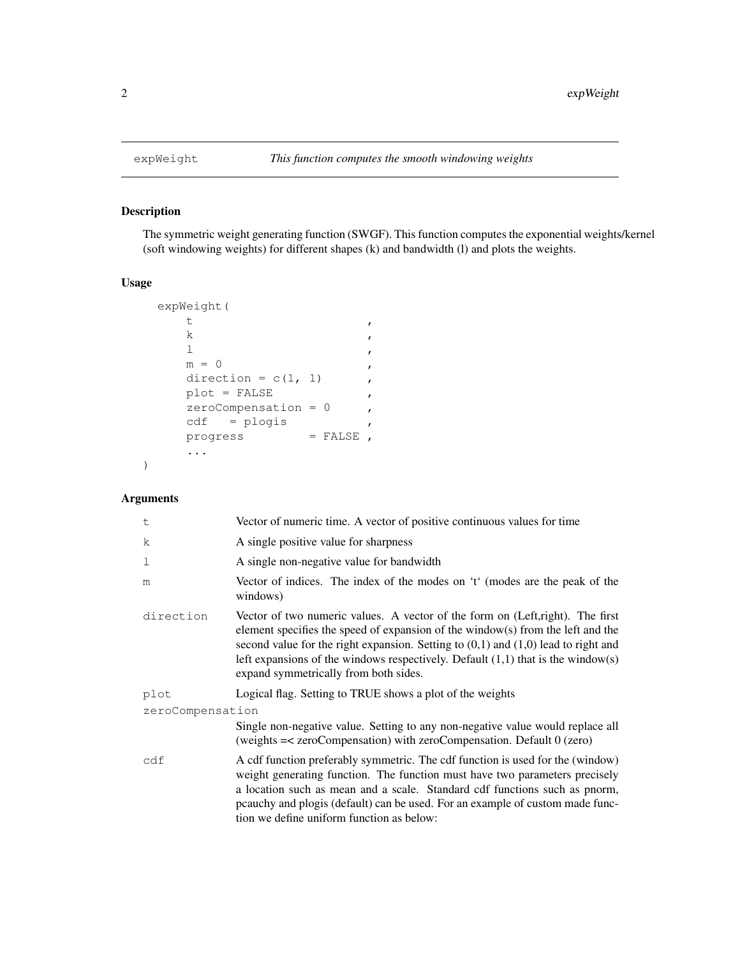# Description

The symmetric weight generating function (SWGF). This function computes the exponential weights/kernel (soft windowing weights) for different shapes (k) and bandwidth (l) and plots the weights.

# Usage

```
expWeight(
      t ,
      k, \sim , \sim , \sim , \sim , \sim , \sim , \sim , \sim , \sim , \sim , \sim , \sim , \sim , \sim , \sim , \sim , \sim , \sim , \sim , \sim , \sim , \sim , \sim , \sim , \sim , \sim , \sim , \sim , \sim , \sim , \sim ,
      \mathbf 1\mathbf{m} = 0direction = c(1, 1),
     plot = FALSE ,
     zeroCompensation = 0,
     cdf = plogis ,
     \text{progress} = \text{FALSE},
      ...
```
# Arguments

)

| t                | Vector of numeric time. A vector of positive continuous values for time                                                                                                                                                                                                                                                                                                                    |
|------------------|--------------------------------------------------------------------------------------------------------------------------------------------------------------------------------------------------------------------------------------------------------------------------------------------------------------------------------------------------------------------------------------------|
| $\mathbf k$      | A single positive value for sharpness                                                                                                                                                                                                                                                                                                                                                      |
| 1                | A single non-negative value for bandwidth                                                                                                                                                                                                                                                                                                                                                  |
| m                | Vector of indices. The index of the modes on 't' (modes are the peak of the<br>windows)                                                                                                                                                                                                                                                                                                    |
| direction        | Vector of two numeric values. A vector of the form on (Left, right). The first<br>element specifies the speed of expansion of the window(s) from the left and the<br>second value for the right expansion. Setting to $(0,1)$ and $(1,0)$ lead to right and<br>left expansions of the windows respectively. Default $(1,1)$ that is the window(s)<br>expand symmetrically from both sides. |
| plot             | Logical flag. Setting to TRUE shows a plot of the weights                                                                                                                                                                                                                                                                                                                                  |
| zeroCompensation |                                                                                                                                                                                                                                                                                                                                                                                            |
|                  | Single non-negative value. Setting to any non-negative value would replace all<br>(weights $=<$ zeroCompensation) with zeroCompensation. Default $0$ (zero)                                                                                                                                                                                                                                |
| cdf              | A cdf function preferably symmetric. The cdf function is used for the (window)<br>weight generating function. The function must have two parameters precisely<br>a location such as mean and a scale. Standard cdf functions such as pnorm,<br>pcauchy and plogis (default) can be used. For an example of custom made func-<br>tion we define uniform function as below:                  |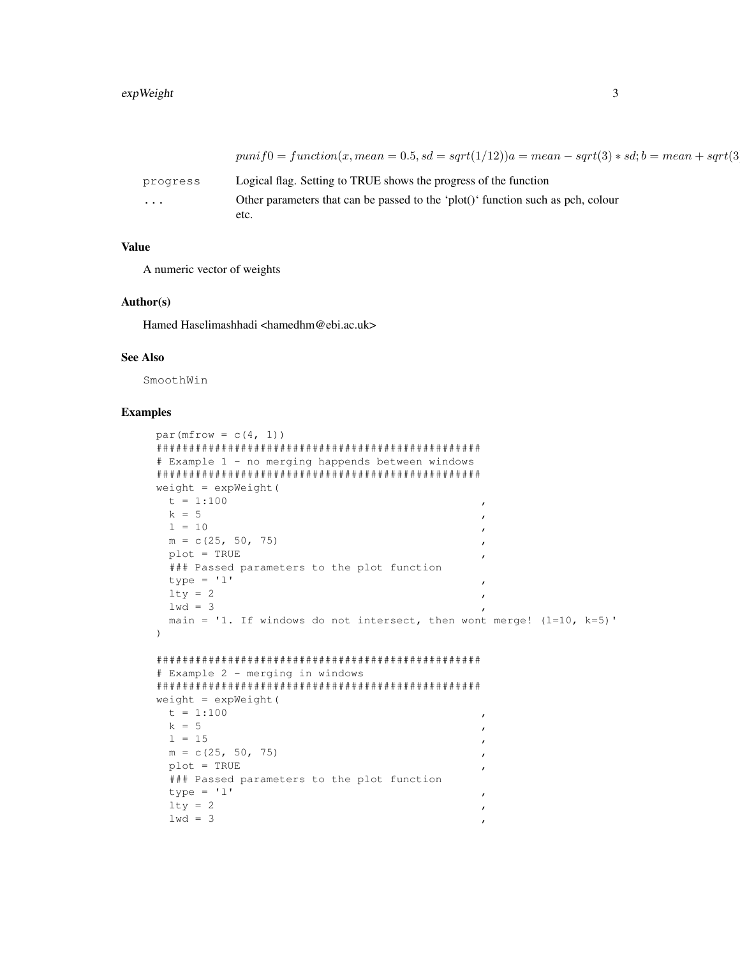|          | $puni f0 = function(x, mean = 0.5, sd = sqrt(1/12))a = mean - sqrt(3) * sd; b = mean + sqrt(3)$ |
|----------|-------------------------------------------------------------------------------------------------|
| progress | Logical flag. Setting to TRUE shows the progress of the function                                |
| $\cdots$ | Other parameters that can be passed to the 'plot()' function such as pch, colour<br>etc.        |

# **Value**

A numeric vector of weights

#### Author(s)

Hamed Haselimashhadi <hamedhm@ebi.ac.uk>

#### **See Also**

SmoothWin

## **Examples**

```
par(mfrow = c(4, 1))
# Example 1 - no merging happends between windows
weight = expWeight(t = 1:100k = 51 = 10m = c(25, 50, 75)plot = TRUE### Passed parameters to the plot function
 type = 'l'lty = 21wd = 3main = '1. If windows do not intersect, then wont merge! (l=10, k=5)'
\left( \right)# Example 2 - merging in windows
weight = expWeight(t = 1:100\overline{ }k = 5\overline{ }1 = 15m = c(25, 50, 75)plot = TRUE### Passed parameters to the plot function
 type = 'l'lty = 2\overline{ }1wd = 3
```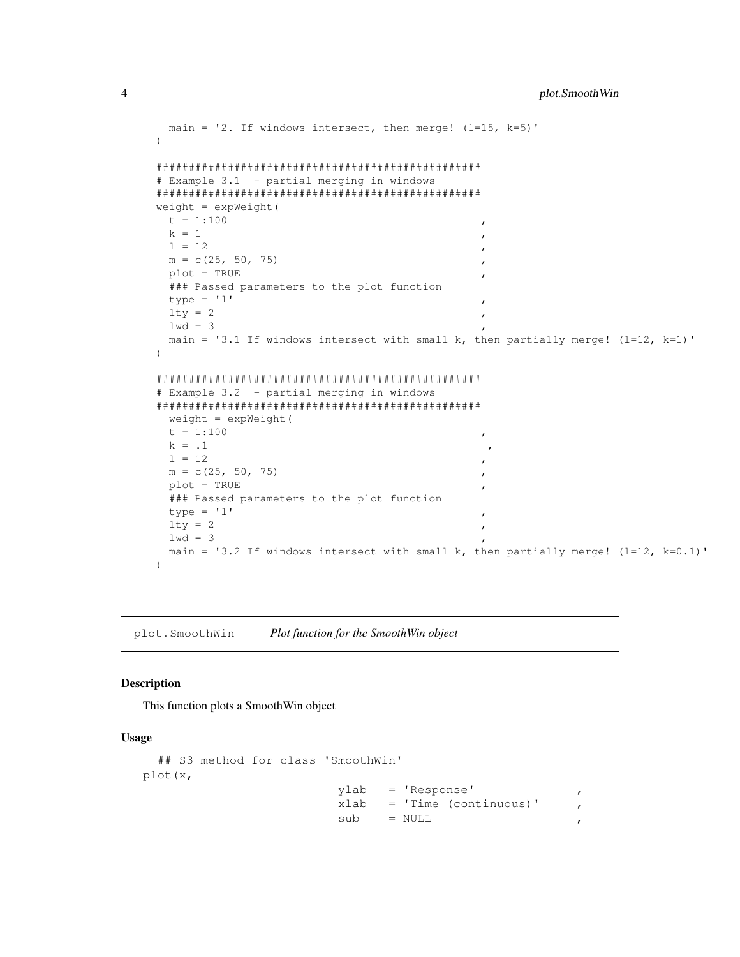```
main = '2. If windows intersect, then merge! (l=15, k=5)')
##################################################
# Example 3.1 - partial merging in windows
##################################################
weight = expWeight(
 t = 1:100k = 11 = 12m = c(25, 50, 75)plot = TRUE### Passed parameters to the plot function
 type = 'l'lty = 21wd = 3main = '3.1 If windows intersect with small k, then partially merge! (1=12, k=1)'
)
##################################################
# Example 3.2 - partial merging in windows
##################################################
 weight = expWeight(
 t = 1:100k = 1, l = 11 = 12m = c(25, 50, 75)plot = TRUE### Passed parameters to the plot function
 type = 'l'lty = 21wd = 3main = '3.2 If windows intersect with small k, then partially merge! (l=12, k=0.1)'
)
```
plot.SmoothWin *Plot function for the SmoothWin object*

#### Description

This function plots a SmoothWin object

#### Usage

```
## S3 method for class 'SmoothWin'
plot(x,
                          ylab = 'Response' ,
                          xlab = 'Time (continuous)'
                          sub = NULL
```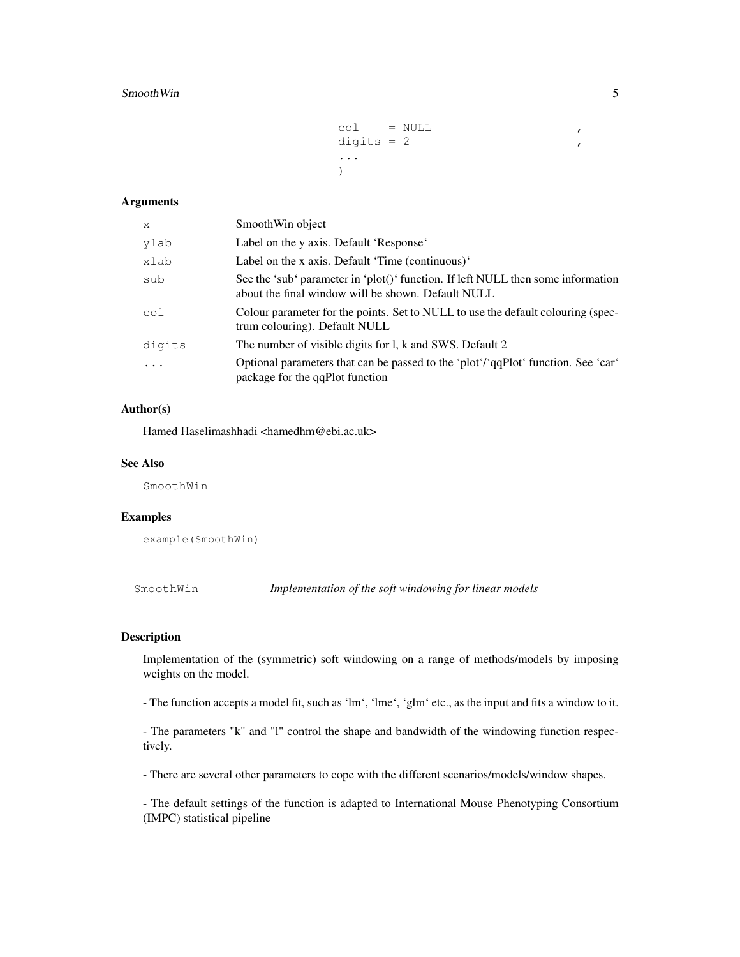#### Smooth Win 5

```
col = NULLdigits = 2...
)
```
# Arguments

| X              | SmoothWin object                                                                                                                       |
|----------------|----------------------------------------------------------------------------------------------------------------------------------------|
| ylab           | Label on the y axis. Default 'Response'                                                                                                |
| xlab           | Label on the x axis. Default 'Time (continuous)'                                                                                       |
| sub            | See the 'sub' parameter in 'plot()' function. If left NULL then some information<br>about the final window will be shown. Default NULL |
| $\mathrm{col}$ | Colour parameter for the points. Set to NULL to use the default colouring (spec-<br>trum colouring). Default NULL                      |
| digits         | The number of visible digits for l, k and SWS. Default 2                                                                               |
| $\cdot$        | Optional parameters that can be passed to the 'plot'/'qqPlot' function. See 'car'<br>package for the qqPlot function                   |

# Author(s)

Hamed Haselimashhadi <hamedhm@ebi.ac.uk>

#### See Also

SmoothWin

#### Examples

example(SmoothWin)

SmoothWin *Implementation of the soft windowing for linear models*

#### Description

Implementation of the (symmetric) soft windowing on a range of methods/models by imposing weights on the model.

- The function accepts a model fit, such as 'lm', 'lme', 'glm' etc., as the input and fits a window to it.

- The parameters "k" and "l" control the shape and bandwidth of the windowing function respectively.

- There are several other parameters to cope with the different scenarios/models/window shapes.

- The default settings of the function is adapted to International Mouse Phenotyping Consortium (IMPC) statistical pipeline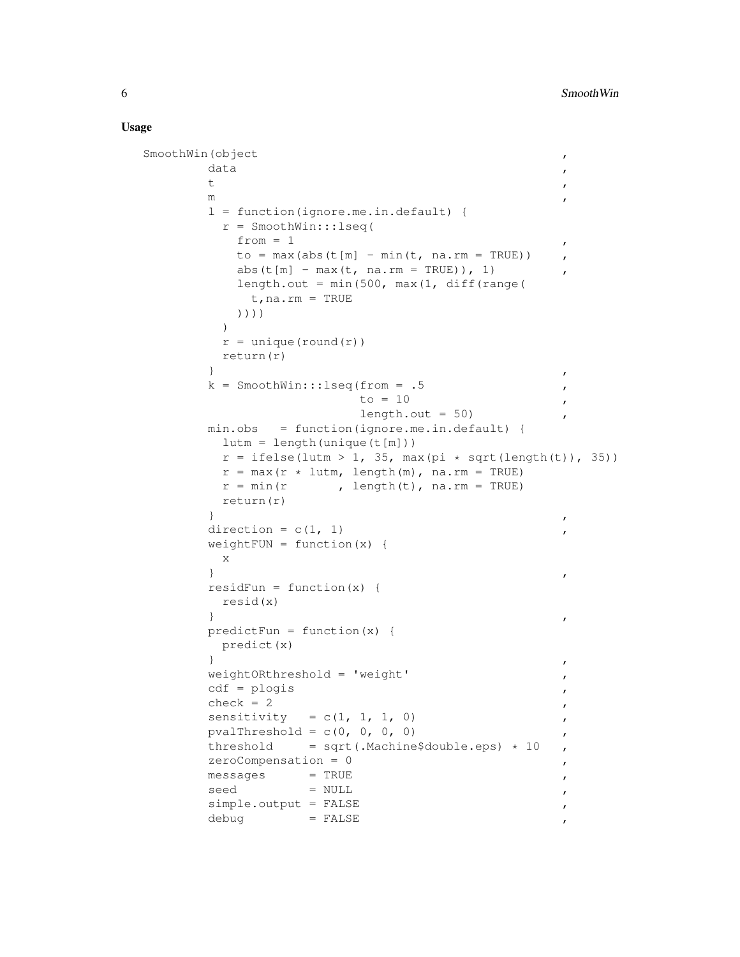#### Usage

```
SmoothWin(object ,
       data , and \overline{a} , and \overline{a} , and \overline{a} , and \overline{a} , and \overline{a} , and \overline{a} , and \overline{a} , and \overline{a} , and \overline{a} , and \overline{a} , and \overline{a} , and \overline{a} , and \overline{a} , and \overline{a} , and t ,
       m ,
       l = function(ignore.me.in.default) {
        r = SmoothWin:::lseq(
          from = 1to = max(abs(t[m] - min(t, na.rm = TRUE))abs(t[m] - max(t, na.rm = TRUE)), 1)
          length.out = min(500, max(1, diff(range(t,na.rm = TRUE
          ))))
        )
        r = unique (round(r))
        return(r)
       \}k = SmoothWin:::lseq(from = .5 ,
                       to = 10 ,
                        length.out = 50min.obs = function(ignore.me.in.default) {
        lutm = length(unique(t[m]))
        r = ifelse(lutm > 1, 35, max(pi * sqrt(length(t)), 35))
        r = max(r * luth, length(m), na.rm = TRUE)<br>
r = min(r , length(t), na.rm = TRUE), length(t), na.rm = TRUE)
        return(r)
       \}direction = c(1, 1)weightFW = function(x) {
        x
       \}residFun = function(x) {
        resid(x)
       \}predictFun = function(x) {
        predict(x)
       \}weightORthreshold = 'weight' ,
       cdf = plogischeck = 2sensitivity = c(1, 1, 1, 0)pvalThreshold = c(0, 0, 0, 0)threshold = sqrt(.Machine$double.eps) * 10zeroCompensation = 0 ,
       messages = TRUE ,
       seed = NULL ,
       simple.output = FALSE ,
       debug = FALSE
```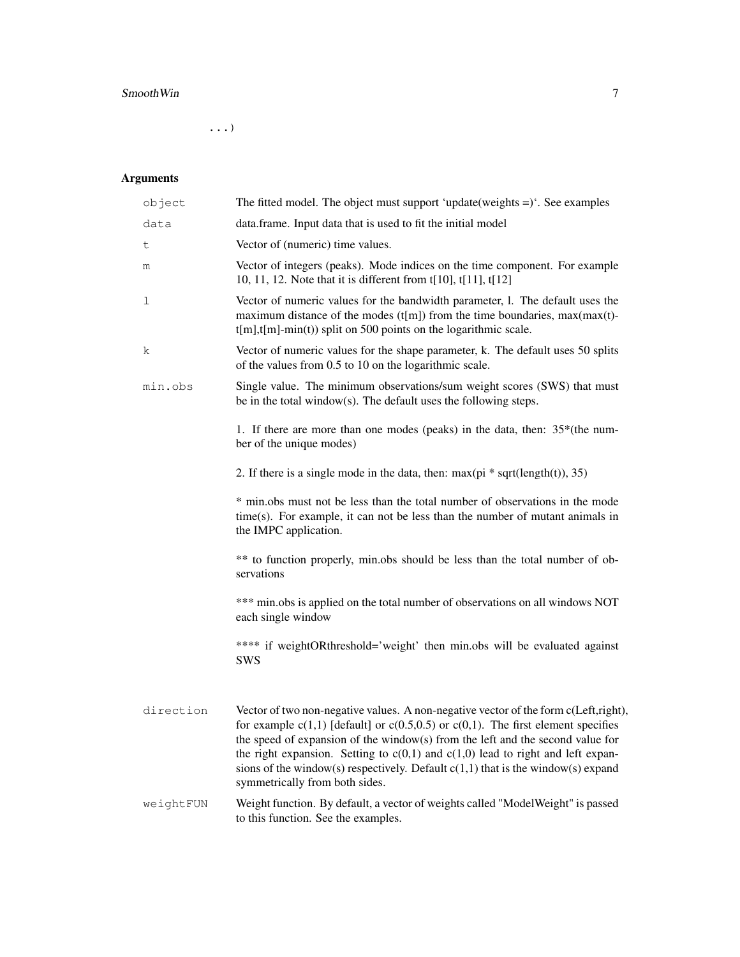# Smooth Win 7

...)

# Arguments

| object    | The fitted model. The object must support 'update(weights $=$ )'. See examples                                                                                                                                                                                                                                                                                                                                                                                                   |  |
|-----------|----------------------------------------------------------------------------------------------------------------------------------------------------------------------------------------------------------------------------------------------------------------------------------------------------------------------------------------------------------------------------------------------------------------------------------------------------------------------------------|--|
| data      | data.frame. Input data that is used to fit the initial model                                                                                                                                                                                                                                                                                                                                                                                                                     |  |
| t         | Vector of (numeric) time values.                                                                                                                                                                                                                                                                                                                                                                                                                                                 |  |
| m         | Vector of integers (peaks). Mode indices on the time component. For example<br>10, 11, 12. Note that it is different from t[10], t[11], t[12]                                                                                                                                                                                                                                                                                                                                    |  |
| ı         | Vector of numeric values for the bandwidth parameter, l. The default uses the<br>maximum distance of the modes (t[m]) from the time boundaries, $max(max(t)$ -<br>$t[m], t[m]$ -min(t)) split on 500 points on the logarithmic scale.                                                                                                                                                                                                                                            |  |
| k         | Vector of numeric values for the shape parameter, k. The default uses 50 splits<br>of the values from 0.5 to 10 on the logarithmic scale.                                                                                                                                                                                                                                                                                                                                        |  |
| min.obs   | Single value. The minimum observations/sum weight scores (SWS) that must<br>be in the total window(s). The default uses the following steps.                                                                                                                                                                                                                                                                                                                                     |  |
|           | 1. If there are more than one modes (peaks) in the data, then: $35*($ the num-<br>ber of the unique modes)                                                                                                                                                                                                                                                                                                                                                                       |  |
|           | 2. If there is a single mode in the data, then: $max(p_i * sqrt(length(t)), 35)$                                                                                                                                                                                                                                                                                                                                                                                                 |  |
|           | * min.obs must not be less than the total number of observations in the mode<br>time(s). For example, it can not be less than the number of mutant animals in<br>the IMPC application.                                                                                                                                                                                                                                                                                           |  |
|           | ** to function properly, min.obs should be less than the total number of ob-<br>servations                                                                                                                                                                                                                                                                                                                                                                                       |  |
|           | *** min.obs is applied on the total number of observations on all windows NOT<br>each single window                                                                                                                                                                                                                                                                                                                                                                              |  |
|           | **** if weightORthreshold='weight' then min.obs will be evaluated against<br>SWS                                                                                                                                                                                                                                                                                                                                                                                                 |  |
| direction | Vector of two non-negative values. A non-negative vector of the form c(Left,right),<br>for example $c(1,1)$ [default] or $c(0.5,0.5)$ or $c(0,1)$ . The first element specifies<br>the speed of expansion of the window(s) from the left and the second value for<br>the right expansion. Setting to $c(0,1)$ and $c(1,0)$ lead to right and left expan-<br>sions of the window(s) respectively. Default $c(1,1)$ that is the window(s) expand<br>symmetrically from both sides. |  |
| weightFUN | Weight function. By default, a vector of weights called "ModelWeight" is passed<br>to this function. See the examples.                                                                                                                                                                                                                                                                                                                                                           |  |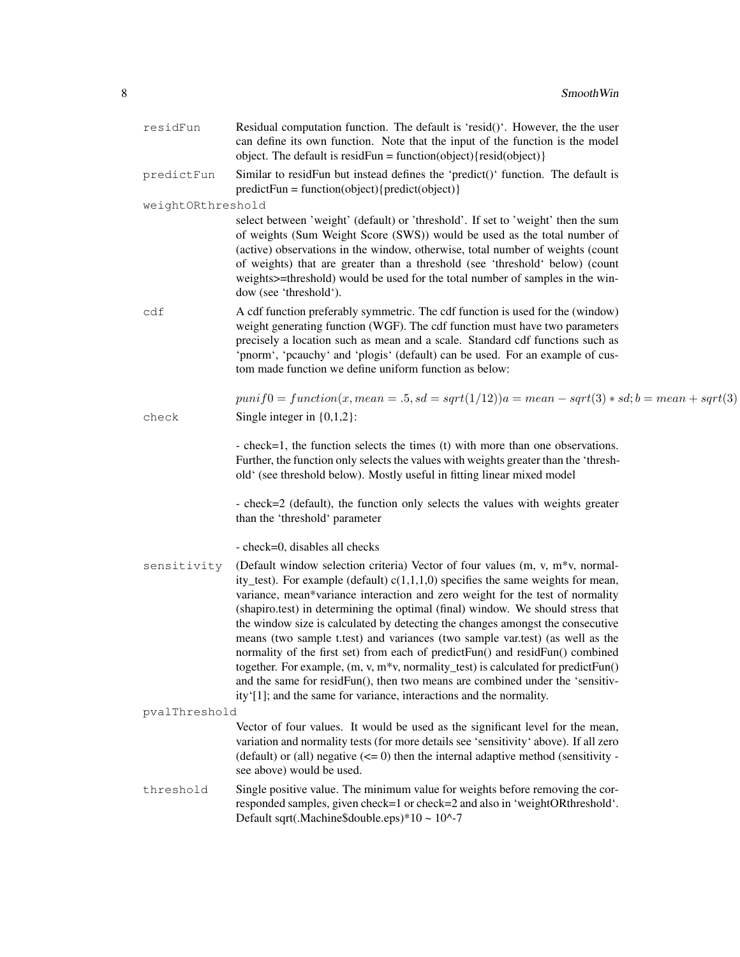| residFun          | Residual computation function. The default is 'resid()'. However, the the user<br>can define its own function. Note that the input of the function is the model<br>object. The default is residFun = function(object){resid(object)}                                                                                                                                                                                                                                                                                                                                                                                                                                                                                                                                                                                                           |
|-------------------|------------------------------------------------------------------------------------------------------------------------------------------------------------------------------------------------------------------------------------------------------------------------------------------------------------------------------------------------------------------------------------------------------------------------------------------------------------------------------------------------------------------------------------------------------------------------------------------------------------------------------------------------------------------------------------------------------------------------------------------------------------------------------------------------------------------------------------------------|
| predictFun        | Similar to residFun but instead defines the 'predict()' function. The default is<br>$predictFun = function(object){predict(object)}$                                                                                                                                                                                                                                                                                                                                                                                                                                                                                                                                                                                                                                                                                                           |
| weightORthreshold |                                                                                                                                                                                                                                                                                                                                                                                                                                                                                                                                                                                                                                                                                                                                                                                                                                                |
|                   | select between 'weight' (default) or 'threshold'. If set to 'weight' then the sum<br>of weights (Sum Weight Score (SWS)) would be used as the total number of<br>(active) observations in the window, otherwise, total number of weights (count<br>of weights) that are greater than a threshold (see 'threshold' below) (count<br>weights >=threshold) would be used for the total number of samples in the win-<br>dow (see 'threshold').                                                                                                                                                                                                                                                                                                                                                                                                    |
| cdf               | A cdf function preferably symmetric. The cdf function is used for the (window)<br>weight generating function (WGF). The cdf function must have two parameters<br>precisely a location such as mean and a scale. Standard cdf functions such as<br>'pnorm', 'pcauchy' and 'plogis' (default) can be used. For an example of cus-<br>tom made function we define uniform function as below:                                                                                                                                                                                                                                                                                                                                                                                                                                                      |
| check             | $punif0 = function(x, mean = .5, sd = sqrt(1/12))a = mean - sqrt(3) * sd; b = mean + sqrt(3)$<br>Single integer in $\{0,1,2\}$ :                                                                                                                                                                                                                                                                                                                                                                                                                                                                                                                                                                                                                                                                                                               |
|                   | - check=1, the function selects the times (t) with more than one observations.<br>Further, the function only selects the values with weights greater than the 'thresh-<br>old' (see threshold below). Mostly useful in fitting linear mixed model<br>- check=2 (default), the function only selects the values with weights greater<br>than the 'threshold' parameter<br>- check=0, disables all checks                                                                                                                                                                                                                                                                                                                                                                                                                                        |
| sensitivity       | (Default window selection criteria) Vector of four values (m, v, m*v, normal-<br>ity_test). For example (default) $c(1,1,1,0)$ specifies the same weights for mean,<br>variance, mean*variance interaction and zero weight for the test of normality<br>(shapiro.test) in determining the optimal (final) window. We should stress that<br>the window size is calculated by detecting the changes amongst the consecutive<br>means (two sample t.test) and variances (two sample var.test) (as well as the<br>normality of the first set) from each of predictFun() and residFun() combined<br>together. For example, $(m, v, m^*v,$ normality_test) is calculated for predictFun $()$<br>and the same for residFun(), then two means are combined under the 'sensitiv-<br>ity'[1]; and the same for variance, interactions and the normality. |
| pvalThreshold     | Vector of four values. It would be used as the significant level for the mean,                                                                                                                                                                                                                                                                                                                                                                                                                                                                                                                                                                                                                                                                                                                                                                 |
|                   | variation and normality tests (for more details see 'sensitivity' above). If all zero<br>(default) or (all) negative $(\leq 0)$ then the internal adaptive method (sensitivity -<br>see above) would be used.                                                                                                                                                                                                                                                                                                                                                                                                                                                                                                                                                                                                                                  |
| threshold         | Single positive value. The minimum value for weights before removing the cor-<br>responded samples, given check=1 or check=2 and also in 'weightORthreshold'.<br>Default sqrt(.Machine\$double.eps)*10 ~ $10^2$ -7                                                                                                                                                                                                                                                                                                                                                                                                                                                                                                                                                                                                                             |
|                   |                                                                                                                                                                                                                                                                                                                                                                                                                                                                                                                                                                                                                                                                                                                                                                                                                                                |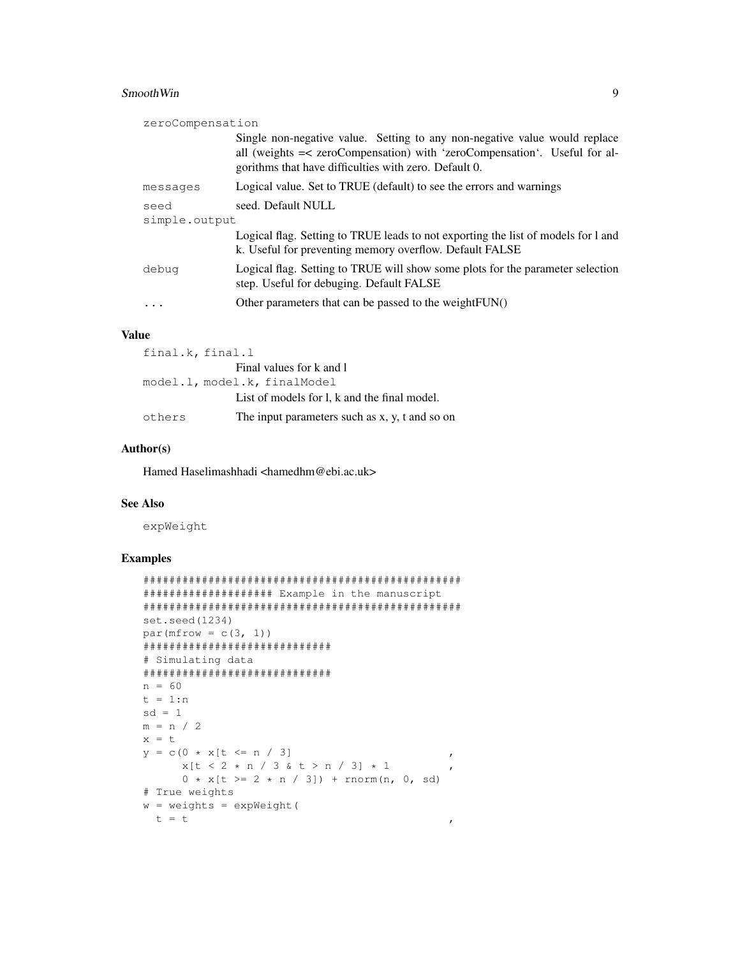# **SmoothWin**

| zeroCompensation |                                                                                                                                                                                                                  |  |
|------------------|------------------------------------------------------------------------------------------------------------------------------------------------------------------------------------------------------------------|--|
|                  | Single non-negative value. Setting to any non-negative value would replace<br>all (weights =< zeroCompensation) with 'zeroCompensation'. Useful for al-<br>gorithms that have difficulties with zero. Default 0. |  |
| messages         | Logical value. Set to TRUE (default) to see the errors and warnings                                                                                                                                              |  |
| seed             | seed. Default NULL                                                                                                                                                                                               |  |
| simple.output    |                                                                                                                                                                                                                  |  |
|                  | Logical flag. Setting to TRUE leads to not exporting the list of models for 1 and<br>k. Useful for preventing memory overflow. Default FALSE                                                                     |  |
| debug            | Logical flag. Setting to TRUE will show some plots for the parameter selection<br>step. Useful for debuging. Default FALSE                                                                                       |  |
|                  | Other parameters that can be passed to the weight FUN()                                                                                                                                                          |  |

#### **Value**

| final.k, final.l |                                                |
|------------------|------------------------------------------------|
|                  | Final values for k and l                       |
|                  | model.l, model.k, finalModel                   |
|                  | List of models for l, k and the final model.   |
| others           | The input parameters such as x, y, t and so on |

#### Author(s)

Hamed Haselimashhadi <hamedhm@ebi.ac.uk>

### **See Also**

expWeight

# **Examples**

```
#################### Example in the manuscript
set.seed(1234)
par(mfrow = c(3, 1))******************************
# Simulating data
n = 60t = 1:nsd = 1m = n / 2x = ty = c(0 * x[t \leq n / 3])\overline{ }x[t < 2 * n / 3 & t > n / 3] * 10 * x[t \ge 2 * n / 3]) + \text{norm}(n, 0, sd)# True weights
w = weights = expWeight(t = t\pmb{r}
```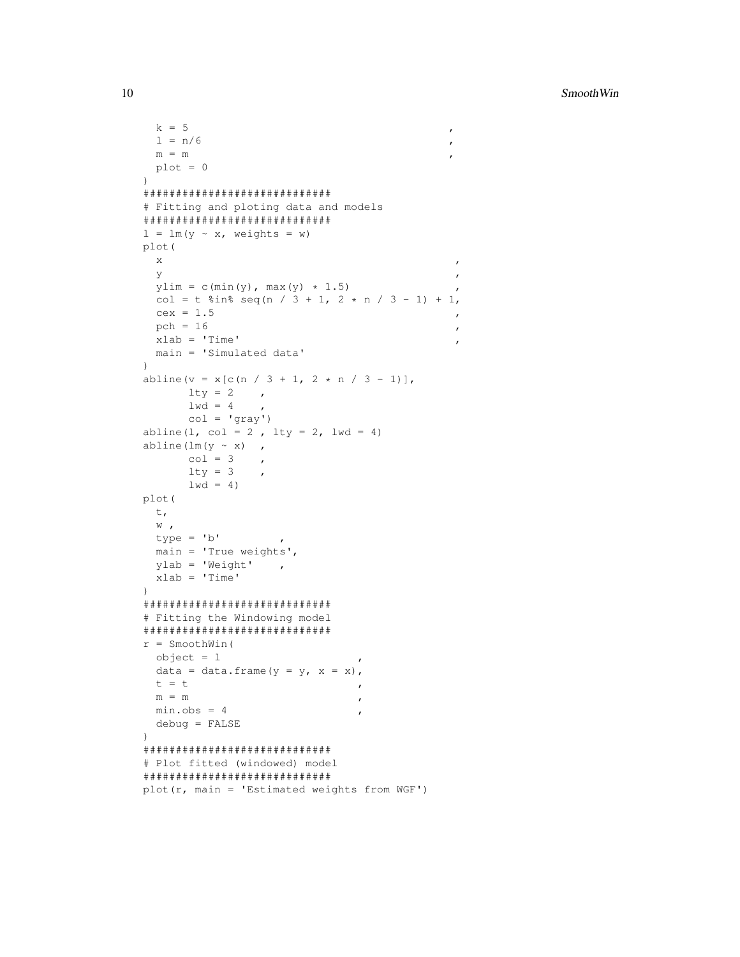**SmoothWin** 

```
k = 5\mathbf{r}1 = n/6\boldsymbol{\prime}m = mplot = 0\lambda*******************************
# Fitting and ploting data and models
1 = lm(y \sim x, weights = w)plot (
  \mathbf X\overline{ }У
  y \text{lim} = c (\min(y), \max(y) + 1.5)col = t sin seq(n / 3 + 1, 2 * n / 3 - 1) + 1,
  cex = 1.5pch = 16\pmb{\cdot}xlab = 'Time'
                                                          \overline{ }main = 'Simulated data'
\lambdaabline (v = x[c(n / 3 + 1, 2 * n / 3 - 1)],
        lty = 2\mathcal{L}_{\mathcal{A}}1wd = 4col = 'gray')abline (1, col = 2, lty = 2, lwd = 4)
abline (\text{lm}(y \sim x),
        col = 3\mathcal{L}^{\mathcal{L}}lty = 3\overline{ }1wd = 4)
plot (
  \mathsf{t}_\ellW \rightarrowtype = 'b'main = 'True weights',ylab = 'Weight',
  xlab = 'Time'
\lambda#############################
# Fitting the Windowing model
******************************
r = SmoothWin(
  object = 1data = data.frame(y = y, x = x),
 t = t\overline{r}\mathsf{m} \ = \ \mathsf{m}\boldsymbol{\prime}min.obs = 4debug = FALSE\left( \right)# Plot fitted (windowed) model
******************************
plot (r, main = 'Estimated weights from WGF')
```
10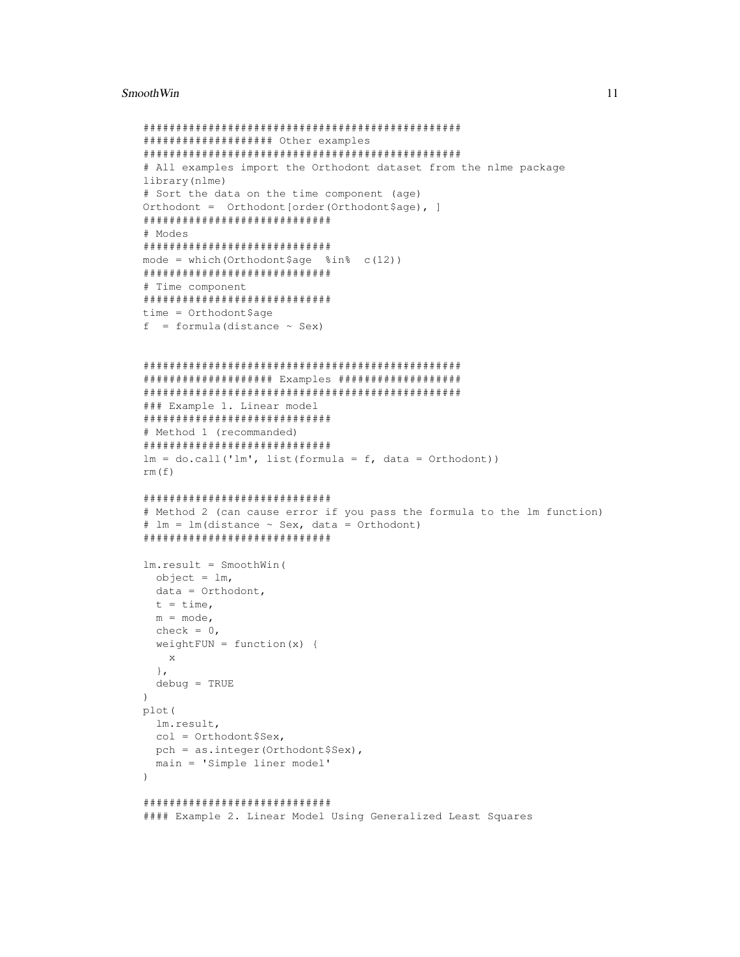#### **SmoothWin**

```
#################### Other examples
# All examples import the Orthodont dataset from the nlme package
library (nlme)
# Sort the data on the time component (age)
Orthodont = Orthodont [order (Orthodont $age), ]
# Modes
mode = which (Orthodont$age sin c(12))
# Time component
time = Orthodont $age
f = formula (distance \sim Sex)
##################### Examples ####################
### Example 1. Linear model
# Method 1 (recommanded)
lm = do-call('lm', list (formula = f, data = Orthodont))rm(f)# Method 2 (can cause error if you pass the formula to the 1m function)
# lm = lm (distance \sim Sex, data = Orthodont)
******************************
lm. result = SmoothWin(object = lm,
 data = Orthodont,t = time,
 m = mode,check = 0,weightFUN = function(x) {
  \mathbf{x}\},
 debug = TRUE\lambdaplot (
 lm.result,
 col = Orthodont $Sex,
 pch = as.integer(Orthodont$Sex),
 main = 'Simple liner model'
\lambda#### Example 2. Linear Model Using Generalized Least Squares
```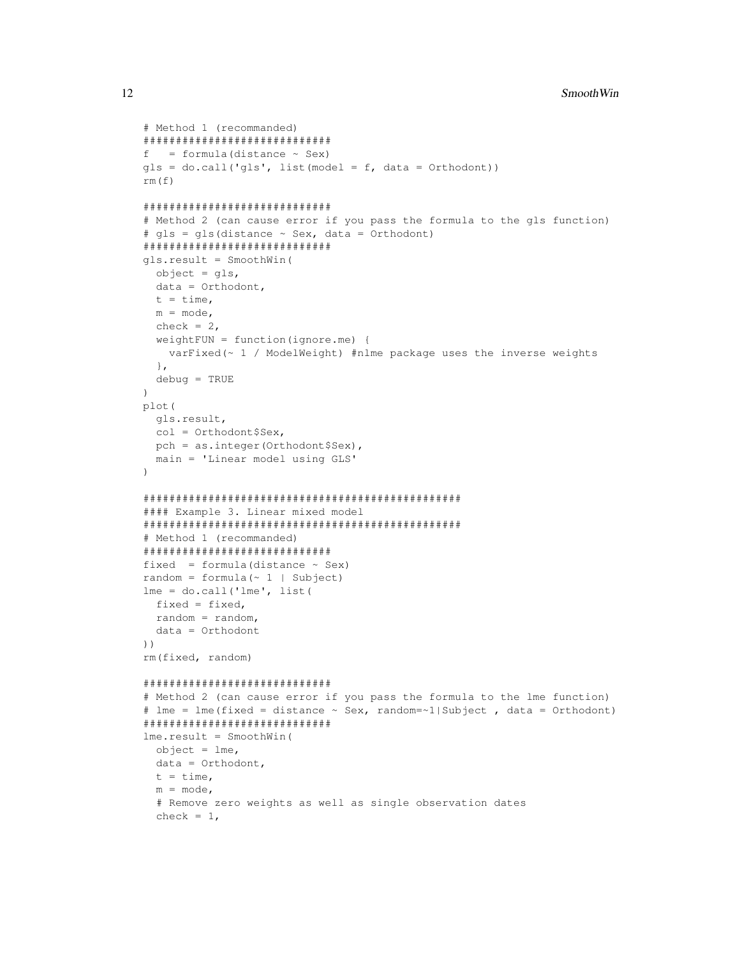```
# Method 1 (recommanded)
#############################
f = formula(distance ~ Sex)qls = do-call('qls', list(model = f, data = Orthodont))rm(f)
#############################
# Method 2 (can cause error if you pass the formula to the gls function)
# gls = gls(distance \sim Sex, data = Orthodont)
#############################
gls.result = SmoothWin(
  object = gls,data = Orthodont,
  t = time,m = mode,check = 2,
  weightFUN = function(ignore.me) {
   varFixed(~ 1 / ModelWeight) #nlme package uses the inverse weights
  },
 debug = TRUE
)
plot(
  gls.result,
  col = Orthodont$Sex,
  pch = as.integer(Orthodont$Sex),
 main = 'Linear model using GLS'
)
#################################################
#### Example 3. Linear mixed model
#################################################
# Method 1 (recommanded)
#############################
fixed = formula (distance \sim Sex)
random = formula(-1 \mid Subject)lme = do.call('lme', list(
 fixed = fixed,
 random = random,
  data = Orthodont
))
rm(fixed, random)
#############################
# Method 2 (can cause error if you pass the formula to the lme function)
# lme = lme(fixed = distance \sim Sex, random=\sim1|Subject, data = Orthodont)
#############################
lme.result = SmoothWin(
  object = lme,data = Orthodont,
  t = time,m = mode,# Remove zero weights as well as single observation dates
  check = 1,
```